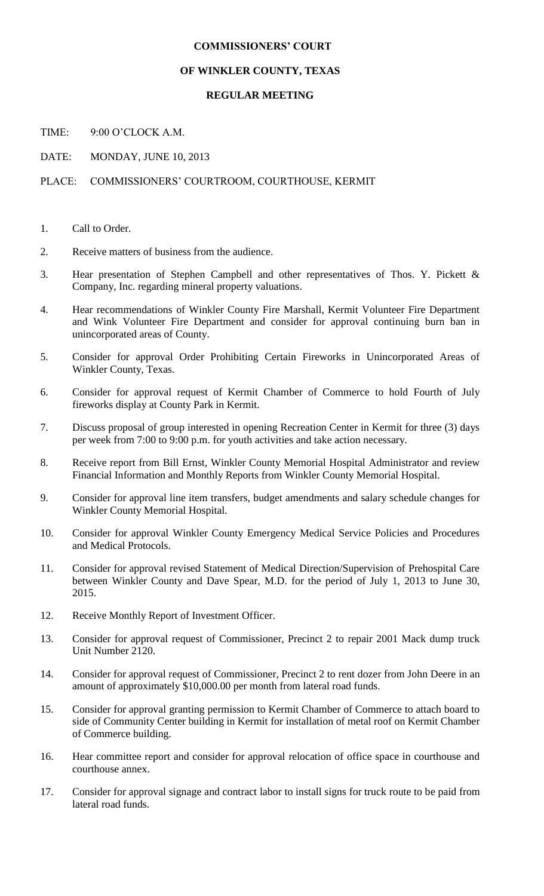## **COMMISSIONERS' COURT**

## **OF WINKLER COUNTY, TEXAS**

## **REGULAR MEETING**

TIME: 9:00 O'CLOCK A.M.

DATE: MONDAY, JUNE 10, 2013

## PLACE: COMMISSIONERS' COURTROOM, COURTHOUSE, KERMIT

- 1. Call to Order.
- 2. Receive matters of business from the audience.
- 3. Hear presentation of Stephen Campbell and other representatives of Thos. Y. Pickett & Company, Inc. regarding mineral property valuations.
- 4. Hear recommendations of Winkler County Fire Marshall, Kermit Volunteer Fire Department and Wink Volunteer Fire Department and consider for approval continuing burn ban in unincorporated areas of County.
- 5. Consider for approval Order Prohibiting Certain Fireworks in Unincorporated Areas of Winkler County, Texas.
- 6. Consider for approval request of Kermit Chamber of Commerce to hold Fourth of July fireworks display at County Park in Kermit.
- 7. Discuss proposal of group interested in opening Recreation Center in Kermit for three (3) days per week from 7:00 to 9:00 p.m. for youth activities and take action necessary.
- 8. Receive report from Bill Ernst, Winkler County Memorial Hospital Administrator and review Financial Information and Monthly Reports from Winkler County Memorial Hospital.
- 9. Consider for approval line item transfers, budget amendments and salary schedule changes for Winkler County Memorial Hospital.
- 10. Consider for approval Winkler County Emergency Medical Service Policies and Procedures and Medical Protocols.
- 11. Consider for approval revised Statement of Medical Direction/Supervision of Prehospital Care between Winkler County and Dave Spear, M.D. for the period of July 1, 2013 to June 30, 2015.
- 12. Receive Monthly Report of Investment Officer.
- 13. Consider for approval request of Commissioner, Precinct 2 to repair 2001 Mack dump truck Unit Number 2120.
- 14. Consider for approval request of Commissioner, Precinct 2 to rent dozer from John Deere in an amount of approximately \$10,000.00 per month from lateral road funds.
- 15. Consider for approval granting permission to Kermit Chamber of Commerce to attach board to side of Community Center building in Kermit for installation of metal roof on Kermit Chamber of Commerce building.
- 16. Hear committee report and consider for approval relocation of office space in courthouse and courthouse annex.
- 17. Consider for approval signage and contract labor to install signs for truck route to be paid from lateral road funds.